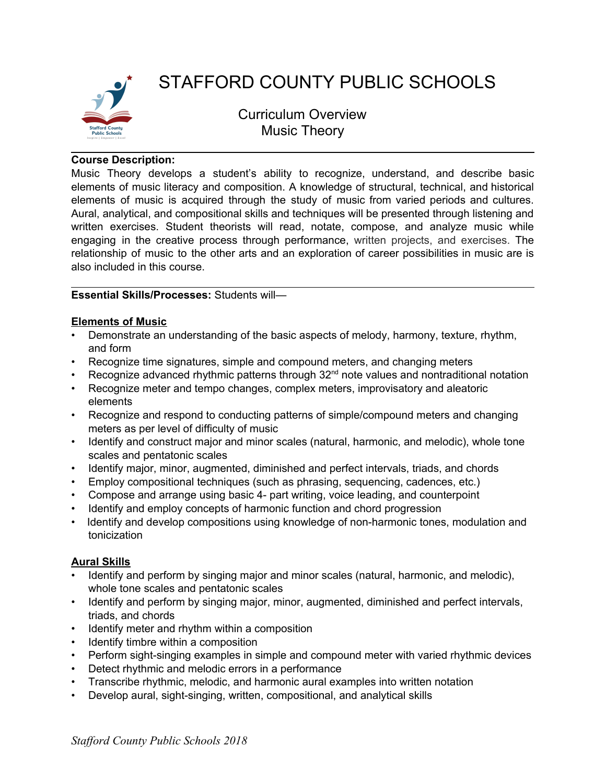

# STAFFORD COUNTY PUBLIC SCHOOLS

Curriculum Overview Music Theory

## **Course Description:**

Music Theory develops a student's ability to recognize, understand, and describe basic elements of music literacy and composition. A knowledge of structural, technical, and historical elements of music is acquired through the study of music from varied periods and cultures. Aural, analytical, and compositional skills and techniques will be presented through listening and written exercises. Student theorists will read, notate, compose, and analyze music while engaging in the creative process through performance, written projects, and exercises. The relationship of music to the other arts and an exploration of career possibilities in music are is also included in this course.

## **Essential Skills/Processes:** Students will—

#### **Elements of Music**

- Demonstrate an understanding of the basic aspects of melody, harmony, texture, rhythm, and form
- Recognize time signatures, simple and compound meters, and changing meters
- Recognize advanced rhythmic patterns through  $32<sup>nd</sup>$  note values and nontraditional notation
- Recognize meter and tempo changes, complex meters, improvisatory and aleatoric elements
- Recognize and respond to conducting patterns of simple/compound meters and changing meters as per level of difficulty of music
- Identify and construct major and minor scales (natural, harmonic, and melodic), whole tone scales and pentatonic scales
- Identify major, minor, augmented, diminished and perfect intervals, triads, and chords
- Employ compositional techniques (such as phrasing, sequencing, cadences, etc.)
- Compose and arrange using basic 4- part writing, voice leading, and counterpoint
- Identify and employ concepts of harmonic function and chord progression
- Identify and develop compositions using knowledge of non-harmonic tones, modulation and tonicization

## **Aural Skills**

- Identify and perform by singing major and minor scales (natural, harmonic, and melodic), whole tone scales and pentatonic scales
- Identify and perform by singing major, minor, augmented, diminished and perfect intervals, triads, and chords
- Identify meter and rhythm within a composition
- Identify timbre within a composition
- Perform sight-singing examples in simple and compound meter with varied rhythmic devices
- Detect rhythmic and melodic errors in a performance
- Transcribe rhythmic, melodic, and harmonic aural examples into written notation
- Develop aural, sight-singing, written, compositional, and analytical skills